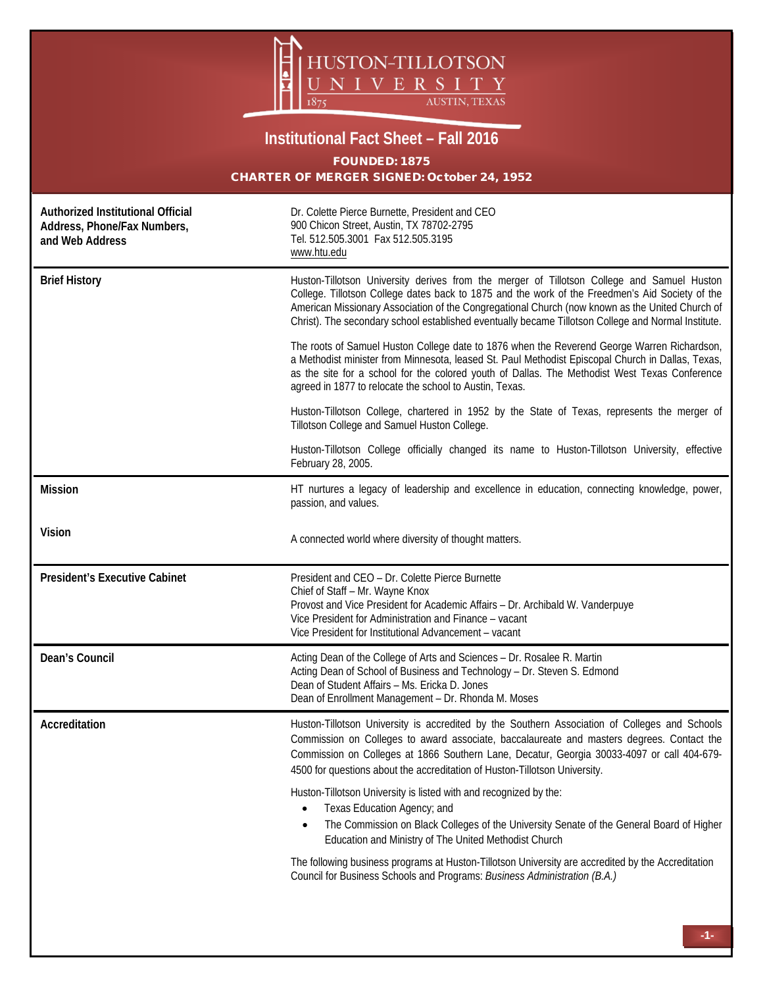

## **Institutional Fact Sheet – Fall 2016** FOUNDED: 1875 CHARTER OF MERGER SIGNED: October 24, 1952

| Authorized Institutional Official<br>Address, Phone/Fax Numbers,<br>and Web Address | Dr. Colette Pierce Burnette, President and CEO<br>900 Chicon Street, Austin, TX 78702-2795<br>Tel. 512.505.3001 Fax 512.505.3195<br>www.htu.edu                                                                                                                                                                                                                                                         |  |  |  |
|-------------------------------------------------------------------------------------|---------------------------------------------------------------------------------------------------------------------------------------------------------------------------------------------------------------------------------------------------------------------------------------------------------------------------------------------------------------------------------------------------------|--|--|--|
| <b>Brief History</b>                                                                | Huston-Tillotson University derives from the merger of Tillotson College and Samuel Huston<br>College. Tillotson College dates back to 1875 and the work of the Freedmen's Aid Society of the<br>American Missionary Association of the Congregational Church (now known as the United Church of<br>Christ). The secondary school established eventually became Tillotson College and Normal Institute. |  |  |  |
|                                                                                     | The roots of Samuel Huston College date to 1876 when the Reverend George Warren Richardson,<br>a Methodist minister from Minnesota, leased St. Paul Methodist Episcopal Church in Dallas, Texas,<br>as the site for a school for the colored youth of Dallas. The Methodist West Texas Conference<br>agreed in 1877 to relocate the school to Austin, Texas.                                            |  |  |  |
|                                                                                     | Huston-Tillotson College, chartered in 1952 by the State of Texas, represents the merger of<br>Tillotson College and Samuel Huston College.                                                                                                                                                                                                                                                             |  |  |  |
|                                                                                     | Huston-Tillotson College officially changed its name to Huston-Tillotson University, effective<br>February 28, 2005.                                                                                                                                                                                                                                                                                    |  |  |  |
| <b>Mission</b>                                                                      | HT nurtures a legacy of leadership and excellence in education, connecting knowledge, power,<br>passion, and values.                                                                                                                                                                                                                                                                                    |  |  |  |
| Vision                                                                              | A connected world where diversity of thought matters.                                                                                                                                                                                                                                                                                                                                                   |  |  |  |
| <b>President's Executive Cabinet</b>                                                | President and CEO - Dr. Colette Pierce Burnette<br>Chief of Staff - Mr. Wayne Knox<br>Provost and Vice President for Academic Affairs - Dr. Archibald W. Vanderpuye<br>Vice President for Administration and Finance – vacant<br>Vice President for Institutional Advancement - vacant                                                                                                                  |  |  |  |
| Dean's Council                                                                      | Acting Dean of the College of Arts and Sciences - Dr. Rosalee R. Martin<br>Acting Dean of School of Business and Technology - Dr. Steven S. Edmond<br>Dean of Student Affairs - Ms. Ericka D. Jones<br>Dean of Enrollment Management - Dr. Rhonda M. Moses                                                                                                                                              |  |  |  |
| Accreditation                                                                       | Huston-Tillotson University is accredited by the Southern Association of Colleges and Schools<br>Commission on Colleges to award associate, baccalaureate and masters degrees. Contact the<br>Commission on Colleges at 1866 Southern Lane, Decatur, Georgia 30033-4097 or call 404-679-<br>4500 for questions about the accreditation of Huston-Tillotson University.                                  |  |  |  |
|                                                                                     | Huston-Tillotson University is listed with and recognized by the:<br>Texas Education Agency; and                                                                                                                                                                                                                                                                                                        |  |  |  |
|                                                                                     | The Commission on Black Colleges of the University Senate of the General Board of Higher<br>Education and Ministry of The United Methodist Church                                                                                                                                                                                                                                                       |  |  |  |